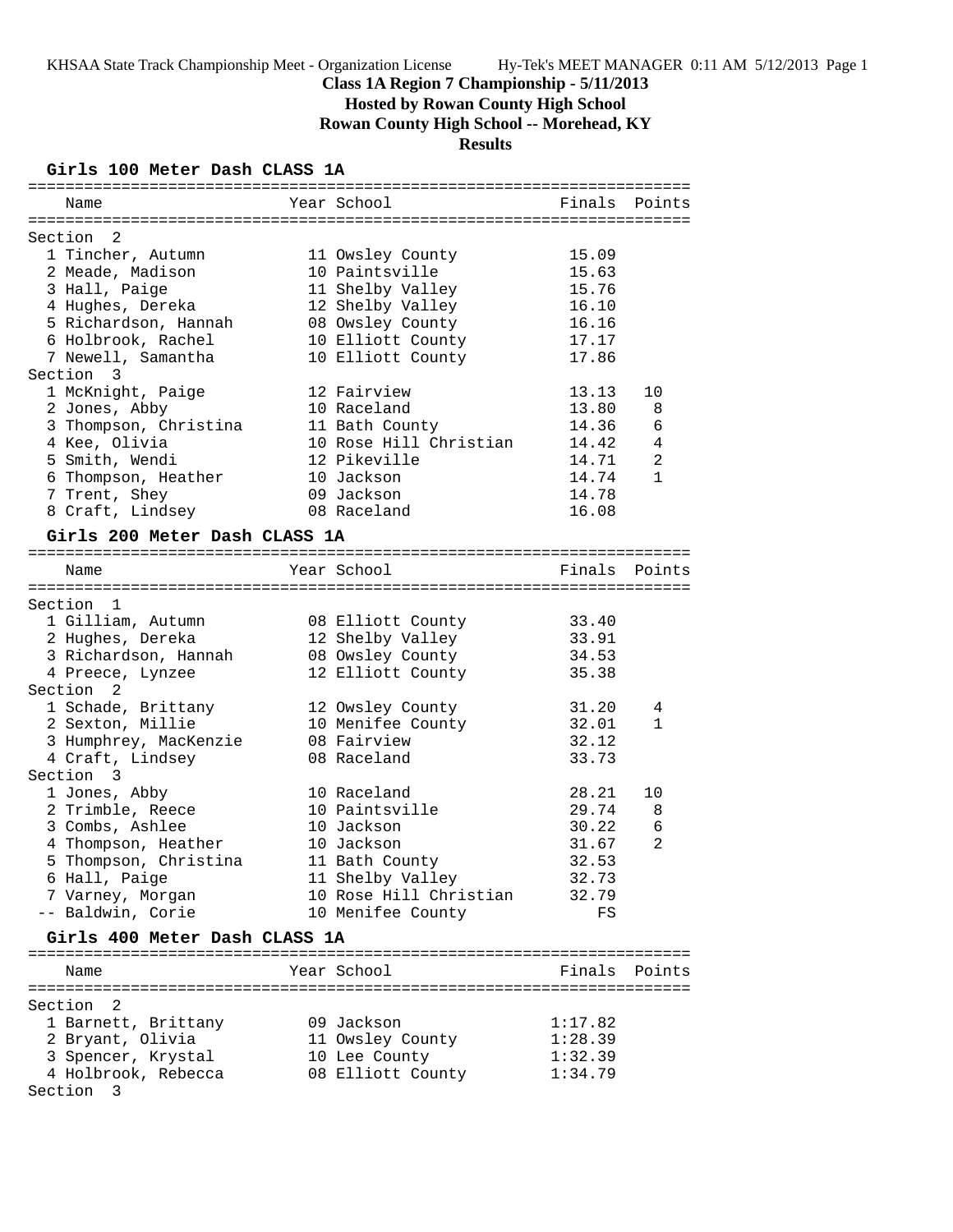**Hosted by Rowan County High School**

**Rowan County High School -- Morehead, KY**

# **Results**

# **Girls 100 Meter Dash CLASS 1A**

| Name                          | Year School            | Finals Points  |              |
|-------------------------------|------------------------|----------------|--------------|
|                               |                        |                |              |
| Section 2                     |                        |                |              |
| 1 Tincher, Autumn             | 11 Owsley County       | 15.09          |              |
| 2 Meade, Madison              | 10 Paintsville         | 15.63          |              |
| 3 Hall, Paige                 | 11 Shelby Valley       | 15.76          |              |
| 4 Hughes, Dereka              | 12 Shelby Valley       | 16.10          |              |
| 5 Richardson, Hannah          | 08 Owsley County       | 16.16          |              |
| 6 Holbrook, Rachel            | 10 Elliott County      | 17.17          |              |
| 7 Newell, Samantha            | 10 Elliott County      | 17.86          |              |
| Section 3                     |                        |                |              |
| 1 McKnight, Paige             | 12 Fairview            | 13.13          | 10           |
| 2 Jones, Abby                 | 10 Raceland            | 13.80          | 8            |
| 3 Thompson, Christina         | 11 Bath County         | 14.36          | 6            |
| 4 Kee, Olivia                 | 10 Rose Hill Christian | 14.42          | 4            |
| 5 Smith, Wendi                | 12 Pikeville           | 14.71          | 2            |
| 6 Thompson, Heather           | 10 Jackson             | 14.74          | $\mathbf{1}$ |
| 7 Trent, Shey                 | 09 Jackson             | 14.78          |              |
| 8 Craft, Lindsey              | 08 Raceland            | 16.08          |              |
|                               |                        |                |              |
| Girls 200 Meter Dash CLASS 1A |                        |                |              |
| Name                          | Year School            | Finals Points  |              |
|                               |                        |                |              |
| Section 1                     |                        |                |              |
| 1 Gilliam, Autumn             | 08 Elliott County      | 33.40          |              |
| 2 Hughes, Dereka              | 12 Shelby Valley       | 33.91          |              |
| 3 Richardson, Hannah          | 08 Owsley County       | 34.53          |              |
| 4 Preece, Lynzee              | 12 Elliott County      | 35.38          |              |
| Section <sub>2</sub>          |                        |                |              |
| 1 Schade, Brittany            | 12 Owsley County       | 31.20          | 4            |
| 2 Sexton, Millie              | 10 Menifee County      | 32.01          | $\mathbf{1}$ |
| 3 Humphrey, MacKenzie         | 08 Fairview            | 32.12          |              |
| 4 Craft, Lindsey              | 08 Raceland            | 33.73          |              |
| Section 3                     |                        |                |              |
| 1 Jones, Abby                 | 10 Raceland            | 28.21          | 10           |
| 2 Trimble, Reece              | 10 Paintsville         | 29.74          | 8            |
| 3 Combs, Ashlee               | 10 Jackson             | 30.22          | 6            |
|                               | 10 Jackson             | 31.67          | 2            |
| 4 Thompson, Heather           |                        |                |              |
| 5 Thompson, Christina         | 11 Bath County         | 32.53          |              |
| 6 Hall, Paige                 | 11 Shelby Valley       | 32.73<br>32.79 |              |
| 7 Varney, Morgan              | 10 Rose Hill Christian |                |              |
| -- Baldwin, Corie             | 10 Menifee County      | FS             |              |
| Girls 400 Meter Dash CLASS 1A |                        |                |              |
|                               |                        |                |              |
| Name                          | Year School            | Finals Points  |              |
|                               |                        |                |              |
| Section<br>2                  |                        |                |              |
| 1 Barnett, Brittany           | 09 Jackson             | 1:17.82        |              |
| 2 Bryant, Olivia              | 11 Owsley County       | 1:28.39        |              |
| 3 Spencer, Krystal            | 10 Lee County          | 1:32.39        |              |
| 4 Holbrook, Rebecca           | 08 Elliott County      | 1:34.79        |              |
| Section 3                     |                        |                |              |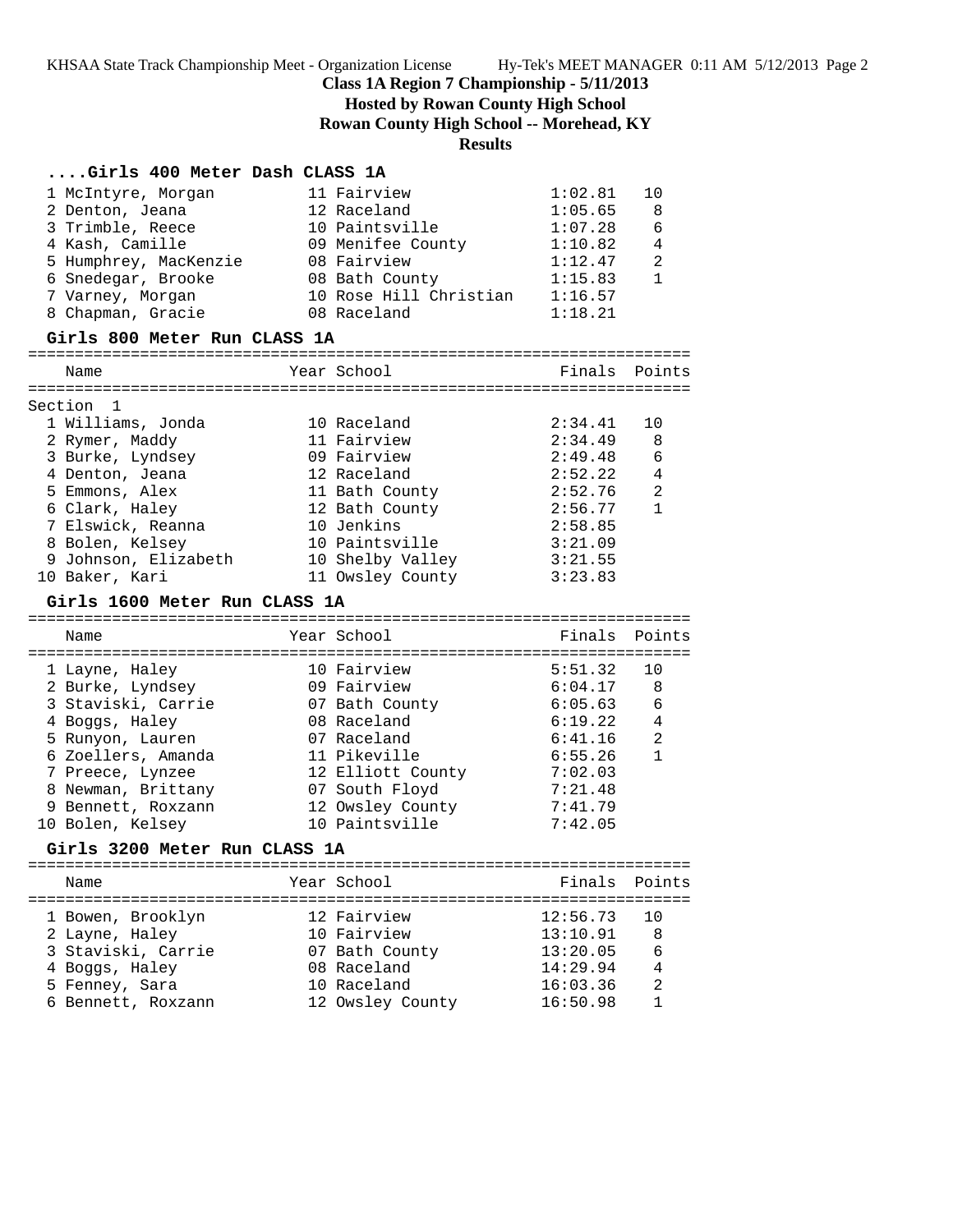**Hosted by Rowan County High School**

**Rowan County High School -- Morehead, KY**

# **Results**

# **....Girls 400 Meter Dash CLASS 1A**

| 1 McIntyre, Morgan            |  | 11 Fairview            | 1:02.81       | 10              |  |  |
|-------------------------------|--|------------------------|---------------|-----------------|--|--|
| 2 Denton, Jeana               |  | 12 Raceland            | 1:05.65       | 8               |  |  |
| 3 Trimble, Reece              |  | 10 Paintsville         | 1:07.28       | 6               |  |  |
| 4 Kash, Camille               |  | 09 Menifee County      | 1:10.82       | 4               |  |  |
| 5 Humphrey, MacKenzie         |  | 08 Fairview            | 1:12.47       | 2               |  |  |
| 6 Snedegar, Brooke            |  | 08 Bath County         | 1:15.83       | $\mathbf{1}$    |  |  |
| 7 Varney, Morgan              |  | 10 Rose Hill Christian | 1:16.57       |                 |  |  |
| 8 Chapman, Gracie             |  | 08 Raceland            | 1:18.21       |                 |  |  |
| Girls 800 Meter Run CLASS 1A  |  |                        |               |                 |  |  |
| Name                          |  | Year School            | Finals        | Points          |  |  |
| Section 1                     |  |                        |               |                 |  |  |
| 1 Williams, Jonda             |  | 10 Raceland            | 2:34.41       | 10              |  |  |
| 2 Rymer, Maddy                |  | 11 Fairview            | 2:34.49       | 8               |  |  |
| 3 Burke, Lyndsey              |  | 09 Fairview            | 2:49.48       | $6\phantom{1}6$ |  |  |
| 4 Denton, Jeana               |  | 12 Raceland            | 2:52.22       | $\overline{4}$  |  |  |
| 5 Emmons, Alex                |  | 11 Bath County         | 2:52.76       | $\overline{a}$  |  |  |
| 6 Clark, Haley                |  | 12 Bath County         | 2:56.77       | $\mathbf{1}$    |  |  |
| 7 Elswick, Reanna             |  | 10 Jenkins             | 2:58.85       |                 |  |  |
| 8 Bolen, Kelsey               |  | 10 Paintsville         | 3:21.09       |                 |  |  |
| 9 Johnson, Elizabeth          |  | 10 Shelby Valley       | 3:21.55       |                 |  |  |
| 10 Baker, Kari                |  | 11 Owsley County       | 3:23.83       |                 |  |  |
|                               |  |                        |               |                 |  |  |
| Girls 1600 Meter Run CLASS 1A |  |                        |               |                 |  |  |
| Name                          |  | Year School            | Finals Points |                 |  |  |
| 1 Layne, Haley                |  | 10 Fairview            | 5:51.32       | 10              |  |  |
| 2 Burke, Lyndsey              |  | 09 Fairview            | 6:04.17       | 8               |  |  |
| 3 Staviski, Carrie            |  | 07 Bath County         | 6:05.63       | 6               |  |  |
| 4 Boggs, Haley                |  | 08 Raceland            | 6:19.22       | 4               |  |  |
| 5 Runyon, Lauren              |  | 07 Raceland            | 6:41.16       | 2               |  |  |
| 6 Zoellers, Amanda            |  | 11 Pikeville           | 6:55.26       | $\mathbf{1}$    |  |  |
| 7 Preece, Lynzee              |  | 12 Elliott County      | 7:02.03       |                 |  |  |
| 8 Newman, Brittany            |  | 07 South Floyd         | 7:21.48       |                 |  |  |
| 9 Bennett, Roxzann            |  | 12 Owsley County       | 7:41.79       |                 |  |  |
| 10 Bolen, Kelsey              |  | 10 Paintsville         | 7:42.05       |                 |  |  |
| Girls 3200 Meter Run CLASS 1A |  |                        |               |                 |  |  |
|                               |  |                        |               |                 |  |  |
| Name                          |  | Year School            | Finals        | Points          |  |  |
|                               |  |                        |               |                 |  |  |

| 1 Bowen, Brooklyn  | 12 Fairview      | 12:56.73 | -10            |
|--------------------|------------------|----------|----------------|
| 2 Layne, Haley     | 10 Fairview      | 13:10.91 | -8             |
| 3 Staviski, Carrie | 07 Bath County   | 13:20.05 | 6              |
| 4 Boggs, Haley     | 08 Raceland      | 14:29.94 | 4              |
| 5 Fenney, Sara     | 10 Raceland      | 16:03.36 | $\overline{2}$ |
| 6 Bennett, Roxzann | 12 Owsley County | 16:50.98 |                |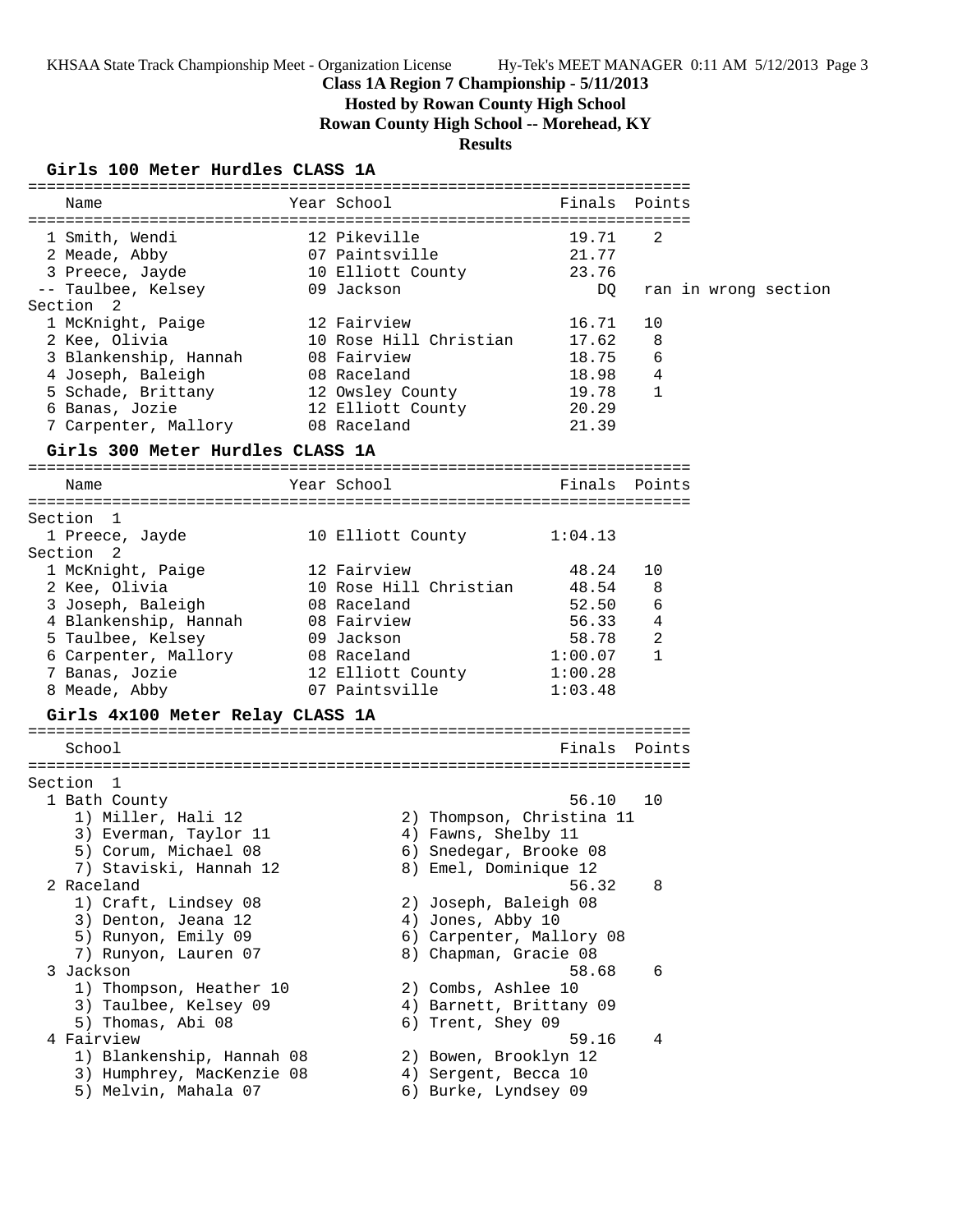KHSAA State Track Championship Meet - Organization License Hy-Tek's MEET MANAGER 0:11 AM 5/12/2013 Page 3

# **Class 1A Region 7 Championship - 5/11/2013**

**Hosted by Rowan County High School**

**Rowan County High School -- Morehead, KY**

# **Results**

# **Girls 100 Meter Hurdles CLASS 1A**

| GITIS TOO METET HUTGIES CLASS IA                                                                                                                                                                  |                                                                        |                                                                                                     |                                                             |                             |                      |  |
|---------------------------------------------------------------------------------------------------------------------------------------------------------------------------------------------------|------------------------------------------------------------------------|-----------------------------------------------------------------------------------------------------|-------------------------------------------------------------|-----------------------------|----------------------|--|
| Name                                                                                                                                                                                              | Year School                                                            |                                                                                                     |                                                             | Finals Points               |                      |  |
| 1 Smith, Wendi<br>2 Meade, Abby<br>3 Preece, Jayde                                                                                                                                                | 12 Pikeville<br>07 Paintsville                                         | 10 Elliott County                                                                                   | 19.71<br>21.77<br>23.76                                     | 2                           |                      |  |
| -- Taulbee, Kelsey                                                                                                                                                                                | 09 Jackson                                                             |                                                                                                     | DQ                                                          |                             | ran in wrong section |  |
| Section 2<br>1 McKnight, Paige<br>2 Kee, Olivia<br>3 Blankenship, Hannah<br>4 Joseph, Baleigh<br>5 Schade, Brittany<br>6 Banas, Jozie<br>7 Carpenter, Mallory<br>Girls 300 Meter Hurdles CLASS 1A | 12 Fairview<br>08 Fairview<br>08 Raceland<br>08 Raceland               | 10 Rose Hill Christian<br>12 Owsley County<br>12 Elliott County                                     | 16.71<br>17.62<br>18.75<br>18.98<br>19.78<br>20.29<br>21.39 | 10<br>8<br>6<br>4<br>1      |                      |  |
| Name                                                                                                                                                                                              | Year School                                                            |                                                                                                     |                                                             | Finals Points               |                      |  |
|                                                                                                                                                                                                   |                                                                        |                                                                                                     |                                                             |                             |                      |  |
| Section 1<br>1 Preece, Jayde<br>Section <sub>2</sub>                                                                                                                                              |                                                                        | 10 Elliott County                                                                                   | 1:04.13                                                     |                             |                      |  |
| 1 McKnight, Paige<br>2 Kee, Olivia<br>3 Joseph, Baleigh<br>4 Blankenship, Hannah<br>5 Taulbee, Kelsey<br>6 Carpenter, Mallory                                                                     | 12 Fairview<br>08 Raceland<br>08 Fairview<br>09 Jackson<br>08 Raceland | 10 Rose Hill Christian                                                                              | 48.24<br>48.54<br>52.50<br>56.33<br>58.78<br>1:00.07        | 10<br>8<br>6<br>4<br>2<br>1 |                      |  |
| 7 Banas, Jozie<br>8 Meade, Abby<br>Girls 4x100 Meter Relay CLASS 1A                                                                                                                               |                                                                        | 12 Elliott County<br>07 Paintsville                                                                 | 1:00.28<br>1:03.48                                          |                             |                      |  |
| School                                                                                                                                                                                            |                                                                        |                                                                                                     |                                                             | Finals Points               |                      |  |
| Section 1<br>1 Bath County<br>1) Miller, Hali 12<br>3) Everman, Taylor 11<br>5) Corum, Michael 08<br>7) Staviski, Hannah 12                                                                       |                                                                        | 2) Thompson, Christina 11<br>4) Fawns, Shelby 11<br>6) Snedegar, Brooke 08<br>8) Emel, Dominique 12 | 56.10                                                       | 10                          |                      |  |
| 2 Raceland<br>1) Craft, Lindsey 08<br>3) Denton, Jeana 12<br>5) Runyon, Emily 09<br>7) Runyon, Lauren 07                                                                                          |                                                                        | 2) Joseph, Baleigh 08<br>4) Jones, Abby 10<br>6) Carpenter, Mallory 08<br>8) Chapman, Gracie 08     | 56.32                                                       | 8                           |                      |  |
| 3 Jackson<br>1) Thompson, Heather 10<br>3) Taulbee, Kelsey 09<br>5) Thomas, Abi 08                                                                                                                |                                                                        | 2) Combs, Ashlee 10<br>4) Barnett, Brittany 09<br>6) Trent, Shey 09                                 | 58.68                                                       | 6                           |                      |  |
| 4 Fairview<br>1) Blankenship, Hannah 08<br>3) Humphrey, MacKenzie 08<br>5) Melvin, Mahala 07                                                                                                      |                                                                        | 2) Bowen, Brooklyn 12<br>4) Sergent, Becca 10<br>6) Burke, Lyndsey 09                               | 59.16                                                       | 4                           |                      |  |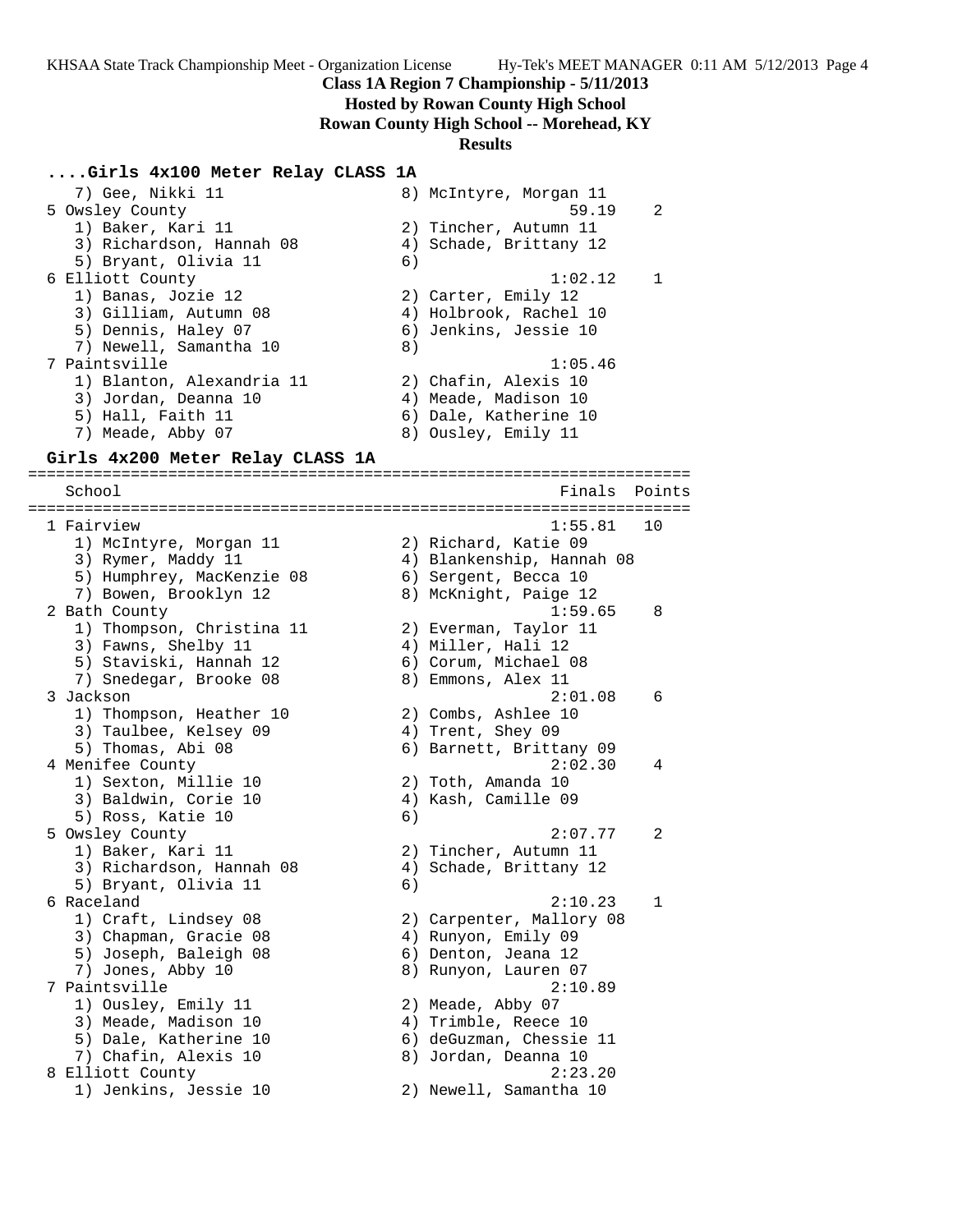## **Hosted by Rowan County High School**

**Rowan County High School -- Morehead, KY**

### **Results**

## **....Girls 4x100 Meter Relay CLASS 1A**

 7) Gee, Nikki 11 8) McIntyre, Morgan 11 5 Owsley County 59.19 2 1) Baker, Kari 11 2) Tincher, Autumn 11 3) Richardson, Hannah 08 4) Schade, Brittany 12 5) Bryant, Olivia 11 6) 6 Elliott County 1:02.12 1 1) Banas, Jozie 12 2) Carter, Emily 12 3) Gilliam, Autumn 08 4) Holbrook, Rachel 10 5) Dennis, Haley 07 6) Jenkins, Jessie 10 7) Newell, Samantha 10 8) 7 Paintsville 1:05.46 1) Blanton, Alexandria 11 2) Chafin, Alexis 10 3) Jordan, Deanna 10 4) Meade, Madison 10 5) Hall, Faith 11 6) Dale, Katherine 10 7) Meade, Abby 07 8) Ousley, Emily 11

## **Girls 4x200 Meter Relay CLASS 1A**

======================================================================= School **Finals** Points **Points** ======================================================================= 1 Fairview 1:55.81 10 1) McIntyre, Morgan 11 2) Richard, Katie 09 3) Rymer, Maddy 11 4) Blankenship, Hannah 08 5) Humphrey, MacKenzie 08 6) Sergent, Becca 10 7) Bowen, Brooklyn 12 8) McKnight, Paige 12 2 Bath County 1:59.65 8 1) Thompson, Christina 11 2) Everman, Taylor 11 3) Fawns, Shelby 11 (4) Miller, Hali 12 5) Staviski, Hannah 12 6) Corum, Michael 08 7) Snedegar, Brooke 08 8) Emmons, Alex 11 3 Jackson 2:01.08 6 1) Thompson, Heather 10 2) Combs, Ashlee 10 3) Taulbee, Kelsey 09  $\hskip 1.6cm 4$  Trent, Shey 09 5) Thomas, Abi 08 6) Barnett, Brittany 09 4 Menifee County 2:02.30 4 1) Sexton, Millie 10 2) Toth, Amanda 10 3) Baldwin, Corie 10 (4) Kash, Camille 09 5) Ross, Katie 10 (6) 5 Owsley County 2:07.77 2 1) Baker, Kari 11 2) Tincher, Autumn 11 3) Richardson, Hannah 08 4) Schade, Brittany 12 5) Bryant, Olivia 11 (6) 6 Raceland 2:10.23 1 1) Craft, Lindsey 08 2) Carpenter, Mallory 08 3) Chapman, Gracie 08 4) Runyon, Emily 09 5) Joseph, Baleigh 08 (6) Denton, Jeana 12 7) Jones, Abby 10 8) Runyon, Lauren 07 7 Paintsville 2:10.89 1) Ousley, Emily 11 2) Meade, Abby 07 3) Meade, Madison 10 (4) Trimble, Reece 10 5) Dale, Katherine 10 6) deGuzman, Chessie 11 7) Chafin, Alexis 10 8) Jordan, Deanna 10 8 Elliott County 2:23.20 1) Jenkins, Jessie 10 2) Newell, Samantha 10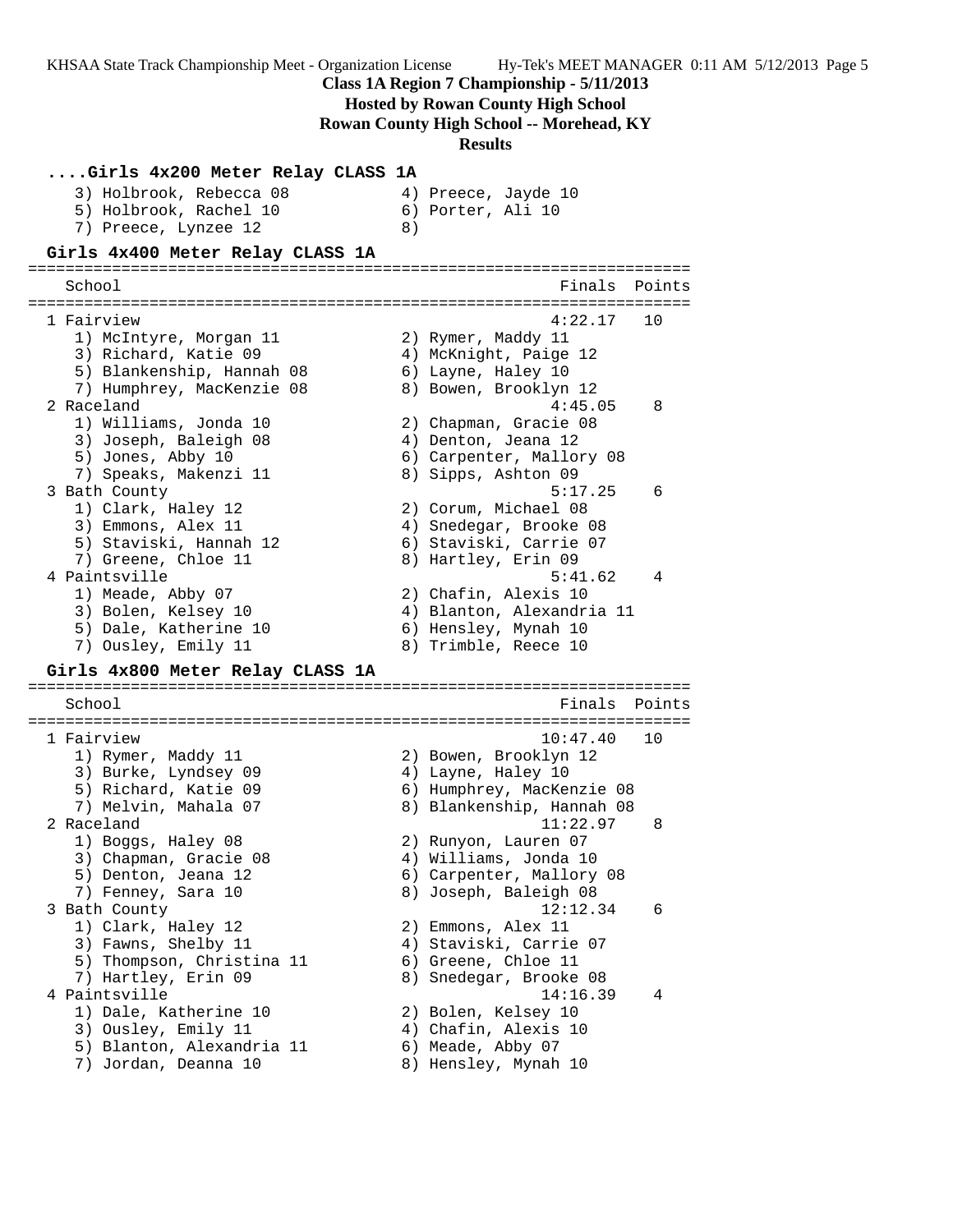KHSAA State Track Championship Meet - Organization License Hy-Tek's MEET MANAGER 0:11 AM 5/12/2013 Page 5 **Class 1A Region 7 Championship - 5/11/2013 Hosted by Rowan County High School Rowan County High School -- Morehead, KY Results ....Girls 4x200 Meter Relay CLASS 1A** 3) Holbrook, Rebecca 08 4) Preece, Jayde 10 5) Holbrook, Rachel 10 (6) Porter, Ali 10 7) Preece, Lynzee 12 a **Girls 4x400 Meter Relay CLASS 1A** ======================================================================= School **Finals Points** ======================================================================= 1 Fairview 4:22.17 10 1) McIntyre, Morgan 11  $\hskip10mm 2)$  Rymer, Maddy 11 3) Richard, Katie 09  $\hskip1cm$  4) McKnight, Paige 12 5) Blankenship, Hannah 08 6) Layne, Haley 10 7) Humphrey, MacKenzie 08 8) Bowen, Brooklyn 12 2 Raceland 4:45.05 8 1) Williams, Jonda 10 2) Chapman, Gracie 08 3) Joseph, Baleigh 08 (4) Denton, Jeana 12 5) Jones, Abby 10 6) Carpenter, Mallory 08 7) Speaks, Makenzi 11 8) Sipps, Ashton 09 3 Bath County 5:17.25 6 1) Clark, Haley 12 2) Corum, Michael 08 3) Emmons, Alex 11 4) Snedegar, Brooke 08 5) Staviski, Hannah 12 6) Staviski, Carrie 07 7) Greene, Chloe 11 and 8) Hartley, Erin 09 4 Paintsville 2012 12:30 12:31 12:32 12:33 12:34 12:35:41 162 12:32 12:32 12:32 12:32 12:32 12:32 12:32 12:32 1) Meade, Abby 07 2) Chafin, Alexis 10 3) Bolen, Kelsey 10 4) Blanton, Alexandria 11 5) Dale, Katherine 10  $\hskip10mm$  6) Hensley, Mynah 10 7) Ousley, Emily 11 and 8) Trimble, Reece 10 **Girls 4x800 Meter Relay CLASS 1A** ======================================================================= School **Finals** Points ======================================================================= 1 Fairview 10:47.40 10 1) Rymer, Maddy 11 2) Bowen, Brooklyn 12 3) Burke, Lyndsey 09 4) Layne, Haley 10 5) Richard, Katie 09 6) Humphrey, MacKenzie 08 7) Melvin, Mahala 07 8) Blankenship, Hannah 08 2 Raceland 11:22.97 8 1) Boggs, Haley 08 2) Runyon, Lauren 07 3) Chapman, Gracie 08 4) Williams, Jonda 10 5) Denton, Jeana 12 6) Carpenter, Mallory 08 7) Fenney, Sara 10 8) Joseph, Baleigh 08 3 Bath County 12:12.34 6 1) Clark, Haley 12 2) Emmons, Alex 11 3) Fawns, Shelby 11 4) Staviski, Carrie 07 5) Thompson, Christina 11 6) Greene, Chloe 11 7) Hartley, Erin 09 8) Snedegar, Brooke 08 4 Paintsville 14:16.39 4 1) Dale, Katherine 10 2) Bolen, Kelsey 10 3) Ousley, Emily 11 (4) Chafin, Alexis 10 5) Blanton, Alexandria 11 6) Meade, Abby 07 7) Jordan, Deanna 10 8) Hensley, Mynah 10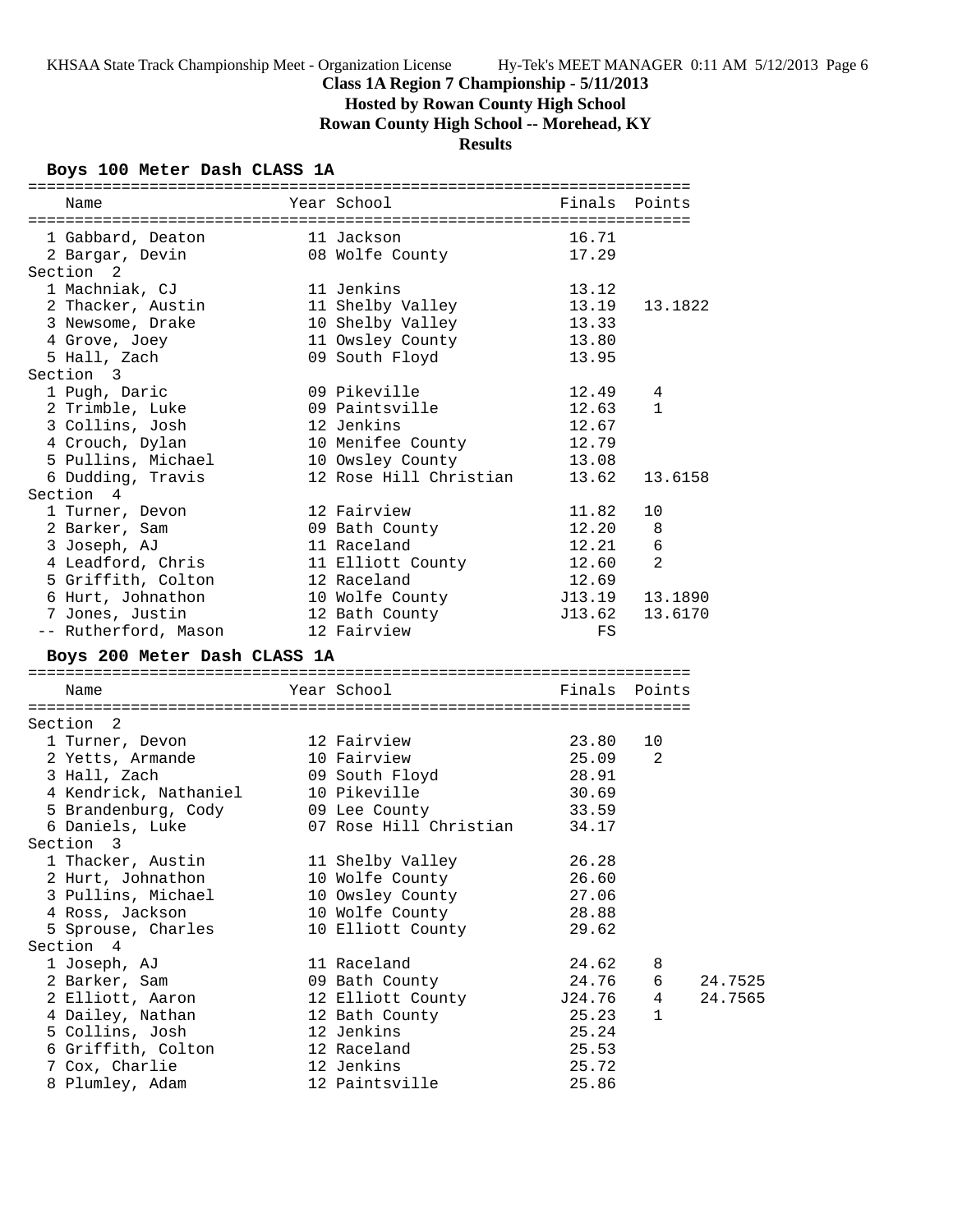**Hosted by Rowan County High School**

**Rowan County High School -- Morehead, KY**

# **Results**

# **Boys 100 Meter Dash CLASS 1A**

| 16.71<br>1 Gabbard, Deaton<br>11 Jackson<br>2 Bargar, Devin<br>08 Wolfe County<br>17.29<br>Section <sub>2</sub><br>1 Machniak, CJ<br>11 Jenkins<br>13.12<br>2 Thacker, Austin<br>11 Shelby Valley<br>13.19<br>13.1822<br>10 Shelby Valley<br>3 Newsome, Drake<br>13.33<br>11 Owsley County<br>4 Grove, Joey<br>13.80<br>5 Hall, Zach<br>09 South Floyd<br>13.95<br>Section 3<br>09 Pikeville<br>1 Pugh, Daric<br>12.49<br>4<br>2 Trimble, Luke<br>09 Paintsville<br>12.63<br>$\mathbf{1}$<br>3 Collins, Josh<br>12 Jenkins<br>12.67<br>10 Menifee County<br>4 Crouch, Dylan<br>12.79<br>5 Pullins, Michael<br>10 Owsley County<br>13.08<br>6 Dudding, Travis<br>12 Rose Hill Christian<br>13.62<br>13.6158<br>Section 4<br>1 Turner, Devon<br>12 Fairview<br>10<br>11.82<br>09 Bath County<br>2 Barker, Sam<br>12.20<br>8<br>3 Joseph, AJ<br>11 Raceland<br>12.21<br>6<br>2<br>4 Leadford, Chris<br>11 Elliott County<br>12.60<br>5 Griffith, Colton<br>12 Raceland<br>12.69<br>6 Hurt, Johnathon<br>10 Wolfe County<br>12 Bath County<br>J13.19<br>13.1890<br>7 Jones, Justin<br>J13.62<br>13.6170<br>-- Rutherford, Mason<br>12 Fairview<br>FS<br>Boys 200 Meter Dash CLASS 1A<br>Year School<br>Finals Points<br>Name<br>Section<br>- 2<br>1 Turner, Devon<br>12 Fairview<br>23.80<br>10<br>2 Yetts, Armande<br>10 Fairview<br>25.09<br>2<br>3 Hall, Zach<br>09 South Floyd<br>28.91<br>30.69<br>4 Kendrick, Nathaniel<br>10 Pikeville<br>5 Brandenburg, Cody<br>33.59<br>09 Lee County<br>07 Rose Hill Christian<br>6 Daniels, Luke<br>34.17<br>Section 3<br>1 Thacker, Austin<br>11 Shelby Valley<br>26.28<br>2 Hurt, Johnathon<br>10 Wolfe County<br>26.60<br>3 Pullins, Michael<br>10 Owsley County<br>27.06<br>4 Ross, Jackson<br>10 Wolfe County<br>28.88<br>5 Sprouse, Charles<br>10 Elliott County<br>29.62<br>Section 4<br>11 Raceland<br>1 Joseph, AJ<br>24.62<br>8<br>2 Barker, Sam<br>09 Bath County<br>24.76<br>24.7525<br>6<br>2 Elliott, Aaron<br>12 Elliott County<br>J24.76<br>24.7565<br>4<br>4 Dailey, Nathan<br>12 Bath County<br>25.23<br>1<br>5 Collins, Josh<br>12 Jenkins<br>25.24<br>6 Griffith, Colton<br>12 Raceland<br>25.53<br>7 Cox, Charlie<br>12 Jenkins<br>25.72<br>8 Plumley, Adam<br>12 Paintsville<br>25.86 | Name | Year School | Finals Points |  |
|----------------------------------------------------------------------------------------------------------------------------------------------------------------------------------------------------------------------------------------------------------------------------------------------------------------------------------------------------------------------------------------------------------------------------------------------------------------------------------------------------------------------------------------------------------------------------------------------------------------------------------------------------------------------------------------------------------------------------------------------------------------------------------------------------------------------------------------------------------------------------------------------------------------------------------------------------------------------------------------------------------------------------------------------------------------------------------------------------------------------------------------------------------------------------------------------------------------------------------------------------------------------------------------------------------------------------------------------------------------------------------------------------------------------------------------------------------------------------------------------------------------------------------------------------------------------------------------------------------------------------------------------------------------------------------------------------------------------------------------------------------------------------------------------------------------------------------------------------------------------------------------------------------------------------------------------------------------------------------------------------------------------------------------------------------------------------------------------------------------------------------------------------------------------------------------------------------------------------------------------------|------|-------------|---------------|--|
|                                                                                                                                                                                                                                                                                                                                                                                                                                                                                                                                                                                                                                                                                                                                                                                                                                                                                                                                                                                                                                                                                                                                                                                                                                                                                                                                                                                                                                                                                                                                                                                                                                                                                                                                                                                                                                                                                                                                                                                                                                                                                                                                                                                                                                                    |      |             |               |  |
|                                                                                                                                                                                                                                                                                                                                                                                                                                                                                                                                                                                                                                                                                                                                                                                                                                                                                                                                                                                                                                                                                                                                                                                                                                                                                                                                                                                                                                                                                                                                                                                                                                                                                                                                                                                                                                                                                                                                                                                                                                                                                                                                                                                                                                                    |      |             |               |  |
|                                                                                                                                                                                                                                                                                                                                                                                                                                                                                                                                                                                                                                                                                                                                                                                                                                                                                                                                                                                                                                                                                                                                                                                                                                                                                                                                                                                                                                                                                                                                                                                                                                                                                                                                                                                                                                                                                                                                                                                                                                                                                                                                                                                                                                                    |      |             |               |  |
|                                                                                                                                                                                                                                                                                                                                                                                                                                                                                                                                                                                                                                                                                                                                                                                                                                                                                                                                                                                                                                                                                                                                                                                                                                                                                                                                                                                                                                                                                                                                                                                                                                                                                                                                                                                                                                                                                                                                                                                                                                                                                                                                                                                                                                                    |      |             |               |  |
|                                                                                                                                                                                                                                                                                                                                                                                                                                                                                                                                                                                                                                                                                                                                                                                                                                                                                                                                                                                                                                                                                                                                                                                                                                                                                                                                                                                                                                                                                                                                                                                                                                                                                                                                                                                                                                                                                                                                                                                                                                                                                                                                                                                                                                                    |      |             |               |  |
|                                                                                                                                                                                                                                                                                                                                                                                                                                                                                                                                                                                                                                                                                                                                                                                                                                                                                                                                                                                                                                                                                                                                                                                                                                                                                                                                                                                                                                                                                                                                                                                                                                                                                                                                                                                                                                                                                                                                                                                                                                                                                                                                                                                                                                                    |      |             |               |  |
|                                                                                                                                                                                                                                                                                                                                                                                                                                                                                                                                                                                                                                                                                                                                                                                                                                                                                                                                                                                                                                                                                                                                                                                                                                                                                                                                                                                                                                                                                                                                                                                                                                                                                                                                                                                                                                                                                                                                                                                                                                                                                                                                                                                                                                                    |      |             |               |  |
|                                                                                                                                                                                                                                                                                                                                                                                                                                                                                                                                                                                                                                                                                                                                                                                                                                                                                                                                                                                                                                                                                                                                                                                                                                                                                                                                                                                                                                                                                                                                                                                                                                                                                                                                                                                                                                                                                                                                                                                                                                                                                                                                                                                                                                                    |      |             |               |  |
|                                                                                                                                                                                                                                                                                                                                                                                                                                                                                                                                                                                                                                                                                                                                                                                                                                                                                                                                                                                                                                                                                                                                                                                                                                                                                                                                                                                                                                                                                                                                                                                                                                                                                                                                                                                                                                                                                                                                                                                                                                                                                                                                                                                                                                                    |      |             |               |  |
|                                                                                                                                                                                                                                                                                                                                                                                                                                                                                                                                                                                                                                                                                                                                                                                                                                                                                                                                                                                                                                                                                                                                                                                                                                                                                                                                                                                                                                                                                                                                                                                                                                                                                                                                                                                                                                                                                                                                                                                                                                                                                                                                                                                                                                                    |      |             |               |  |
|                                                                                                                                                                                                                                                                                                                                                                                                                                                                                                                                                                                                                                                                                                                                                                                                                                                                                                                                                                                                                                                                                                                                                                                                                                                                                                                                                                                                                                                                                                                                                                                                                                                                                                                                                                                                                                                                                                                                                                                                                                                                                                                                                                                                                                                    |      |             |               |  |
|                                                                                                                                                                                                                                                                                                                                                                                                                                                                                                                                                                                                                                                                                                                                                                                                                                                                                                                                                                                                                                                                                                                                                                                                                                                                                                                                                                                                                                                                                                                                                                                                                                                                                                                                                                                                                                                                                                                                                                                                                                                                                                                                                                                                                                                    |      |             |               |  |
|                                                                                                                                                                                                                                                                                                                                                                                                                                                                                                                                                                                                                                                                                                                                                                                                                                                                                                                                                                                                                                                                                                                                                                                                                                                                                                                                                                                                                                                                                                                                                                                                                                                                                                                                                                                                                                                                                                                                                                                                                                                                                                                                                                                                                                                    |      |             |               |  |
|                                                                                                                                                                                                                                                                                                                                                                                                                                                                                                                                                                                                                                                                                                                                                                                                                                                                                                                                                                                                                                                                                                                                                                                                                                                                                                                                                                                                                                                                                                                                                                                                                                                                                                                                                                                                                                                                                                                                                                                                                                                                                                                                                                                                                                                    |      |             |               |  |
|                                                                                                                                                                                                                                                                                                                                                                                                                                                                                                                                                                                                                                                                                                                                                                                                                                                                                                                                                                                                                                                                                                                                                                                                                                                                                                                                                                                                                                                                                                                                                                                                                                                                                                                                                                                                                                                                                                                                                                                                                                                                                                                                                                                                                                                    |      |             |               |  |
|                                                                                                                                                                                                                                                                                                                                                                                                                                                                                                                                                                                                                                                                                                                                                                                                                                                                                                                                                                                                                                                                                                                                                                                                                                                                                                                                                                                                                                                                                                                                                                                                                                                                                                                                                                                                                                                                                                                                                                                                                                                                                                                                                                                                                                                    |      |             |               |  |
|                                                                                                                                                                                                                                                                                                                                                                                                                                                                                                                                                                                                                                                                                                                                                                                                                                                                                                                                                                                                                                                                                                                                                                                                                                                                                                                                                                                                                                                                                                                                                                                                                                                                                                                                                                                                                                                                                                                                                                                                                                                                                                                                                                                                                                                    |      |             |               |  |
|                                                                                                                                                                                                                                                                                                                                                                                                                                                                                                                                                                                                                                                                                                                                                                                                                                                                                                                                                                                                                                                                                                                                                                                                                                                                                                                                                                                                                                                                                                                                                                                                                                                                                                                                                                                                                                                                                                                                                                                                                                                                                                                                                                                                                                                    |      |             |               |  |
|                                                                                                                                                                                                                                                                                                                                                                                                                                                                                                                                                                                                                                                                                                                                                                                                                                                                                                                                                                                                                                                                                                                                                                                                                                                                                                                                                                                                                                                                                                                                                                                                                                                                                                                                                                                                                                                                                                                                                                                                                                                                                                                                                                                                                                                    |      |             |               |  |
|                                                                                                                                                                                                                                                                                                                                                                                                                                                                                                                                                                                                                                                                                                                                                                                                                                                                                                                                                                                                                                                                                                                                                                                                                                                                                                                                                                                                                                                                                                                                                                                                                                                                                                                                                                                                                                                                                                                                                                                                                                                                                                                                                                                                                                                    |      |             |               |  |
|                                                                                                                                                                                                                                                                                                                                                                                                                                                                                                                                                                                                                                                                                                                                                                                                                                                                                                                                                                                                                                                                                                                                                                                                                                                                                                                                                                                                                                                                                                                                                                                                                                                                                                                                                                                                                                                                                                                                                                                                                                                                                                                                                                                                                                                    |      |             |               |  |
|                                                                                                                                                                                                                                                                                                                                                                                                                                                                                                                                                                                                                                                                                                                                                                                                                                                                                                                                                                                                                                                                                                                                                                                                                                                                                                                                                                                                                                                                                                                                                                                                                                                                                                                                                                                                                                                                                                                                                                                                                                                                                                                                                                                                                                                    |      |             |               |  |
|                                                                                                                                                                                                                                                                                                                                                                                                                                                                                                                                                                                                                                                                                                                                                                                                                                                                                                                                                                                                                                                                                                                                                                                                                                                                                                                                                                                                                                                                                                                                                                                                                                                                                                                                                                                                                                                                                                                                                                                                                                                                                                                                                                                                                                                    |      |             |               |  |
|                                                                                                                                                                                                                                                                                                                                                                                                                                                                                                                                                                                                                                                                                                                                                                                                                                                                                                                                                                                                                                                                                                                                                                                                                                                                                                                                                                                                                                                                                                                                                                                                                                                                                                                                                                                                                                                                                                                                                                                                                                                                                                                                                                                                                                                    |      |             |               |  |
|                                                                                                                                                                                                                                                                                                                                                                                                                                                                                                                                                                                                                                                                                                                                                                                                                                                                                                                                                                                                                                                                                                                                                                                                                                                                                                                                                                                                                                                                                                                                                                                                                                                                                                                                                                                                                                                                                                                                                                                                                                                                                                                                                                                                                                                    |      |             |               |  |
|                                                                                                                                                                                                                                                                                                                                                                                                                                                                                                                                                                                                                                                                                                                                                                                                                                                                                                                                                                                                                                                                                                                                                                                                                                                                                                                                                                                                                                                                                                                                                                                                                                                                                                                                                                                                                                                                                                                                                                                                                                                                                                                                                                                                                                                    |      |             |               |  |
|                                                                                                                                                                                                                                                                                                                                                                                                                                                                                                                                                                                                                                                                                                                                                                                                                                                                                                                                                                                                                                                                                                                                                                                                                                                                                                                                                                                                                                                                                                                                                                                                                                                                                                                                                                                                                                                                                                                                                                                                                                                                                                                                                                                                                                                    |      |             |               |  |
|                                                                                                                                                                                                                                                                                                                                                                                                                                                                                                                                                                                                                                                                                                                                                                                                                                                                                                                                                                                                                                                                                                                                                                                                                                                                                                                                                                                                                                                                                                                                                                                                                                                                                                                                                                                                                                                                                                                                                                                                                                                                                                                                                                                                                                                    |      |             |               |  |
|                                                                                                                                                                                                                                                                                                                                                                                                                                                                                                                                                                                                                                                                                                                                                                                                                                                                                                                                                                                                                                                                                                                                                                                                                                                                                                                                                                                                                                                                                                                                                                                                                                                                                                                                                                                                                                                                                                                                                                                                                                                                                                                                                                                                                                                    |      |             |               |  |
|                                                                                                                                                                                                                                                                                                                                                                                                                                                                                                                                                                                                                                                                                                                                                                                                                                                                                                                                                                                                                                                                                                                                                                                                                                                                                                                                                                                                                                                                                                                                                                                                                                                                                                                                                                                                                                                                                                                                                                                                                                                                                                                                                                                                                                                    |      |             |               |  |
|                                                                                                                                                                                                                                                                                                                                                                                                                                                                                                                                                                                                                                                                                                                                                                                                                                                                                                                                                                                                                                                                                                                                                                                                                                                                                                                                                                                                                                                                                                                                                                                                                                                                                                                                                                                                                                                                                                                                                                                                                                                                                                                                                                                                                                                    |      |             |               |  |
|                                                                                                                                                                                                                                                                                                                                                                                                                                                                                                                                                                                                                                                                                                                                                                                                                                                                                                                                                                                                                                                                                                                                                                                                                                                                                                                                                                                                                                                                                                                                                                                                                                                                                                                                                                                                                                                                                                                                                                                                                                                                                                                                                                                                                                                    |      |             |               |  |
|                                                                                                                                                                                                                                                                                                                                                                                                                                                                                                                                                                                                                                                                                                                                                                                                                                                                                                                                                                                                                                                                                                                                                                                                                                                                                                                                                                                                                                                                                                                                                                                                                                                                                                                                                                                                                                                                                                                                                                                                                                                                                                                                                                                                                                                    |      |             |               |  |
|                                                                                                                                                                                                                                                                                                                                                                                                                                                                                                                                                                                                                                                                                                                                                                                                                                                                                                                                                                                                                                                                                                                                                                                                                                                                                                                                                                                                                                                                                                                                                                                                                                                                                                                                                                                                                                                                                                                                                                                                                                                                                                                                                                                                                                                    |      |             |               |  |
|                                                                                                                                                                                                                                                                                                                                                                                                                                                                                                                                                                                                                                                                                                                                                                                                                                                                                                                                                                                                                                                                                                                                                                                                                                                                                                                                                                                                                                                                                                                                                                                                                                                                                                                                                                                                                                                                                                                                                                                                                                                                                                                                                                                                                                                    |      |             |               |  |
|                                                                                                                                                                                                                                                                                                                                                                                                                                                                                                                                                                                                                                                                                                                                                                                                                                                                                                                                                                                                                                                                                                                                                                                                                                                                                                                                                                                                                                                                                                                                                                                                                                                                                                                                                                                                                                                                                                                                                                                                                                                                                                                                                                                                                                                    |      |             |               |  |
|                                                                                                                                                                                                                                                                                                                                                                                                                                                                                                                                                                                                                                                                                                                                                                                                                                                                                                                                                                                                                                                                                                                                                                                                                                                                                                                                                                                                                                                                                                                                                                                                                                                                                                                                                                                                                                                                                                                                                                                                                                                                                                                                                                                                                                                    |      |             |               |  |
|                                                                                                                                                                                                                                                                                                                                                                                                                                                                                                                                                                                                                                                                                                                                                                                                                                                                                                                                                                                                                                                                                                                                                                                                                                                                                                                                                                                                                                                                                                                                                                                                                                                                                                                                                                                                                                                                                                                                                                                                                                                                                                                                                                                                                                                    |      |             |               |  |
|                                                                                                                                                                                                                                                                                                                                                                                                                                                                                                                                                                                                                                                                                                                                                                                                                                                                                                                                                                                                                                                                                                                                                                                                                                                                                                                                                                                                                                                                                                                                                                                                                                                                                                                                                                                                                                                                                                                                                                                                                                                                                                                                                                                                                                                    |      |             |               |  |
|                                                                                                                                                                                                                                                                                                                                                                                                                                                                                                                                                                                                                                                                                                                                                                                                                                                                                                                                                                                                                                                                                                                                                                                                                                                                                                                                                                                                                                                                                                                                                                                                                                                                                                                                                                                                                                                                                                                                                                                                                                                                                                                                                                                                                                                    |      |             |               |  |
|                                                                                                                                                                                                                                                                                                                                                                                                                                                                                                                                                                                                                                                                                                                                                                                                                                                                                                                                                                                                                                                                                                                                                                                                                                                                                                                                                                                                                                                                                                                                                                                                                                                                                                                                                                                                                                                                                                                                                                                                                                                                                                                                                                                                                                                    |      |             |               |  |
|                                                                                                                                                                                                                                                                                                                                                                                                                                                                                                                                                                                                                                                                                                                                                                                                                                                                                                                                                                                                                                                                                                                                                                                                                                                                                                                                                                                                                                                                                                                                                                                                                                                                                                                                                                                                                                                                                                                                                                                                                                                                                                                                                                                                                                                    |      |             |               |  |
|                                                                                                                                                                                                                                                                                                                                                                                                                                                                                                                                                                                                                                                                                                                                                                                                                                                                                                                                                                                                                                                                                                                                                                                                                                                                                                                                                                                                                                                                                                                                                                                                                                                                                                                                                                                                                                                                                                                                                                                                                                                                                                                                                                                                                                                    |      |             |               |  |
|                                                                                                                                                                                                                                                                                                                                                                                                                                                                                                                                                                                                                                                                                                                                                                                                                                                                                                                                                                                                                                                                                                                                                                                                                                                                                                                                                                                                                                                                                                                                                                                                                                                                                                                                                                                                                                                                                                                                                                                                                                                                                                                                                                                                                                                    |      |             |               |  |
|                                                                                                                                                                                                                                                                                                                                                                                                                                                                                                                                                                                                                                                                                                                                                                                                                                                                                                                                                                                                                                                                                                                                                                                                                                                                                                                                                                                                                                                                                                                                                                                                                                                                                                                                                                                                                                                                                                                                                                                                                                                                                                                                                                                                                                                    |      |             |               |  |
|                                                                                                                                                                                                                                                                                                                                                                                                                                                                                                                                                                                                                                                                                                                                                                                                                                                                                                                                                                                                                                                                                                                                                                                                                                                                                                                                                                                                                                                                                                                                                                                                                                                                                                                                                                                                                                                                                                                                                                                                                                                                                                                                                                                                                                                    |      |             |               |  |
|                                                                                                                                                                                                                                                                                                                                                                                                                                                                                                                                                                                                                                                                                                                                                                                                                                                                                                                                                                                                                                                                                                                                                                                                                                                                                                                                                                                                                                                                                                                                                                                                                                                                                                                                                                                                                                                                                                                                                                                                                                                                                                                                                                                                                                                    |      |             |               |  |
|                                                                                                                                                                                                                                                                                                                                                                                                                                                                                                                                                                                                                                                                                                                                                                                                                                                                                                                                                                                                                                                                                                                                                                                                                                                                                                                                                                                                                                                                                                                                                                                                                                                                                                                                                                                                                                                                                                                                                                                                                                                                                                                                                                                                                                                    |      |             |               |  |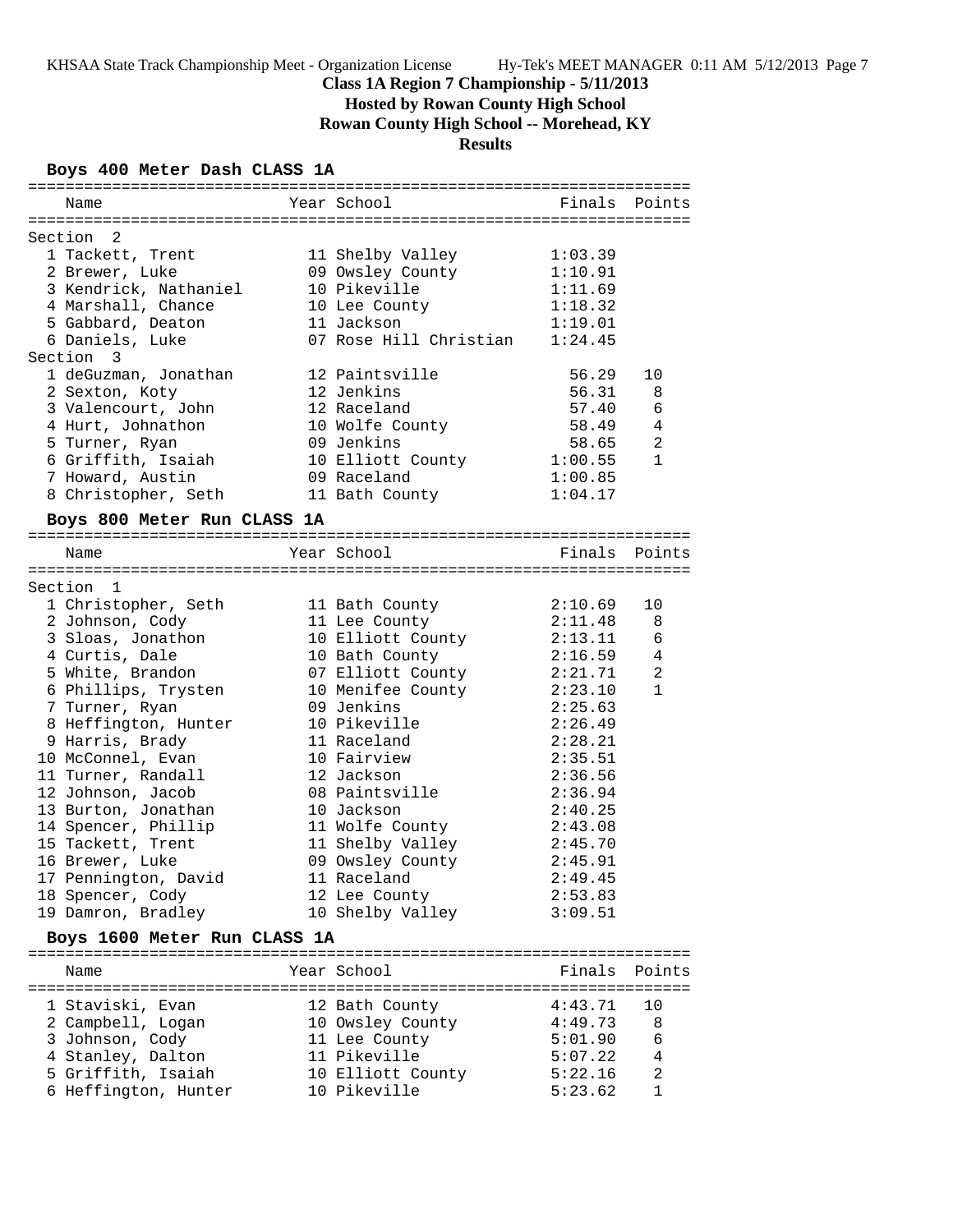**Hosted by Rowan County High School**

**Rowan County High School -- Morehead, KY**

## **Results**

### **Boys 400 Meter Dash CLASS 1A**

| Name                        | Year School                        | Finals Points |                 |
|-----------------------------|------------------------------------|---------------|-----------------|
| Section 2                   |                                    |               |                 |
| 1 Tackett, Trent            | 11 Shelby Valley                   | 1:03.39       |                 |
| 2 Brewer, Luke              | 09 Owsley County                   | 1:10.91       |                 |
| 3 Kendrick, Nathaniel       | 10 Pikeville                       | 1:11.69       |                 |
| 4 Marshall, Chance          | 10 Lee County                      | 1:18.32       |                 |
| 5 Gabbard, Deaton           | 11 Jackson                         | 1:19.01       |                 |
| 6 Daniels, Luke             | 07 Rose Hill Christian             | 1:24.45       |                 |
| Section 3                   |                                    |               |                 |
| 1 deGuzman, Jonathan        | 12 Paintsville                     | 56.29         | 10              |
| 2 Sexton, Koty              | 12 Jenkins                         | 56.31         | 8               |
| 3 Valencourt, John          | 12 Raceland                        | 57.40         | 6               |
| 4 Hurt, Johnathon           | 10 Wolfe County                    | 58.49         | $\overline{4}$  |
| 5 Turner, Ryan              | 09 Jenkins                         | 58.65         | $\overline{a}$  |
| 6 Griffith, Isaiah          | 10 Elliott County                  | 1:00.55       | $\mathbf{1}$    |
| 7 Howard, Austin            | 09 Raceland                        | 1:00.85       |                 |
| 8 Christopher, Seth         | 11 Bath County                     | 1:04.17       |                 |
| Boys 800 Meter Run CLASS 1A |                                    |               |                 |
| Name                        | Year School                        | Finals Points |                 |
|                             |                                    |               |                 |
| Section 1                   |                                    |               |                 |
| 1 Christopher, Seth         | 11 Bath County                     | 2:10.69       | 10              |
| 2 Johnson, Cody             |                                    | 2:11.48       | 8               |
| 3 Sloas, Jonathon           | 11 Lee County<br>10 Elliott County | 2:13.11       | $6\phantom{1}6$ |
| 4 Curtis, Dale              | 10 Bath County                     | 2:16.59       | $\overline{4}$  |
| 5 White, Brandon            | 07 Elliott County                  | 2:21.71       | 2               |
| 6 Phillips, Trysten         | 10 Menifee County $2:23.10$        |               | $\mathbf{1}$    |
| 7 Turner, Ryan              | 09 Jenkins                         | 2:25.63       |                 |
| 8 Heffington, Hunter        | 10 Pikeville                       | 2:26.49       |                 |
| 9 Harris, Brady             | 11 Raceland                        | 2:28.21       |                 |
| 10 McConnel, Evan           | 10 Fairview                        | 2:35.51       |                 |
| 10<br>11 Turner, Randall    | 12 Jackson                         | 2:36.56       |                 |
| 12 Johnson, Jacob           | 08 Paintsville                     | 2:36.94       |                 |
| 13 Burton, Jonathan         | 10 Jackson                         | 2:40.25       |                 |
| 14 Spencer, Phillip         | 11 Wolfe County                    | 2:43.08       |                 |
| 15 Tackett, Trent           | 11 Shelby Valley 2:45.70           |               |                 |
| 16 Brewer, Luke             | 09 Owsley County                   | 2:45.91       |                 |

| 17 Pennington, David         | 11 Raceland      | 2:49.45       |  |
|------------------------------|------------------|---------------|--|
| 18 Spencer, Cody             | 12 Lee County    | 2:53.83       |  |
| 19 Damron, Bradley           | 10 Shelby Valley | 3:09.51       |  |
| Boys 1600 Meter Run CLASS 1A |                  |               |  |
| Name                         | Year School      | Finals Points |  |

| 1 Staviski, Evan     | 12 Bath County    | 4:43.71 | - 10          |
|----------------------|-------------------|---------|---------------|
| 2 Campbell, Logan    | 10 Owsley County  | 4:49.73 | 8             |
| 3 Johnson, Cody      | 11 Lee County     | 5:01.90 | 6             |
| 4 Stanley, Dalton    | 11 Pikeville      | 5:07.22 | 4             |
| 5 Griffith, Isaiah   | 10 Elliott County | 5:22.16 | $\mathcal{L}$ |
| 6 Heffington, Hunter | 10 Pikeville      | 5:23.62 |               |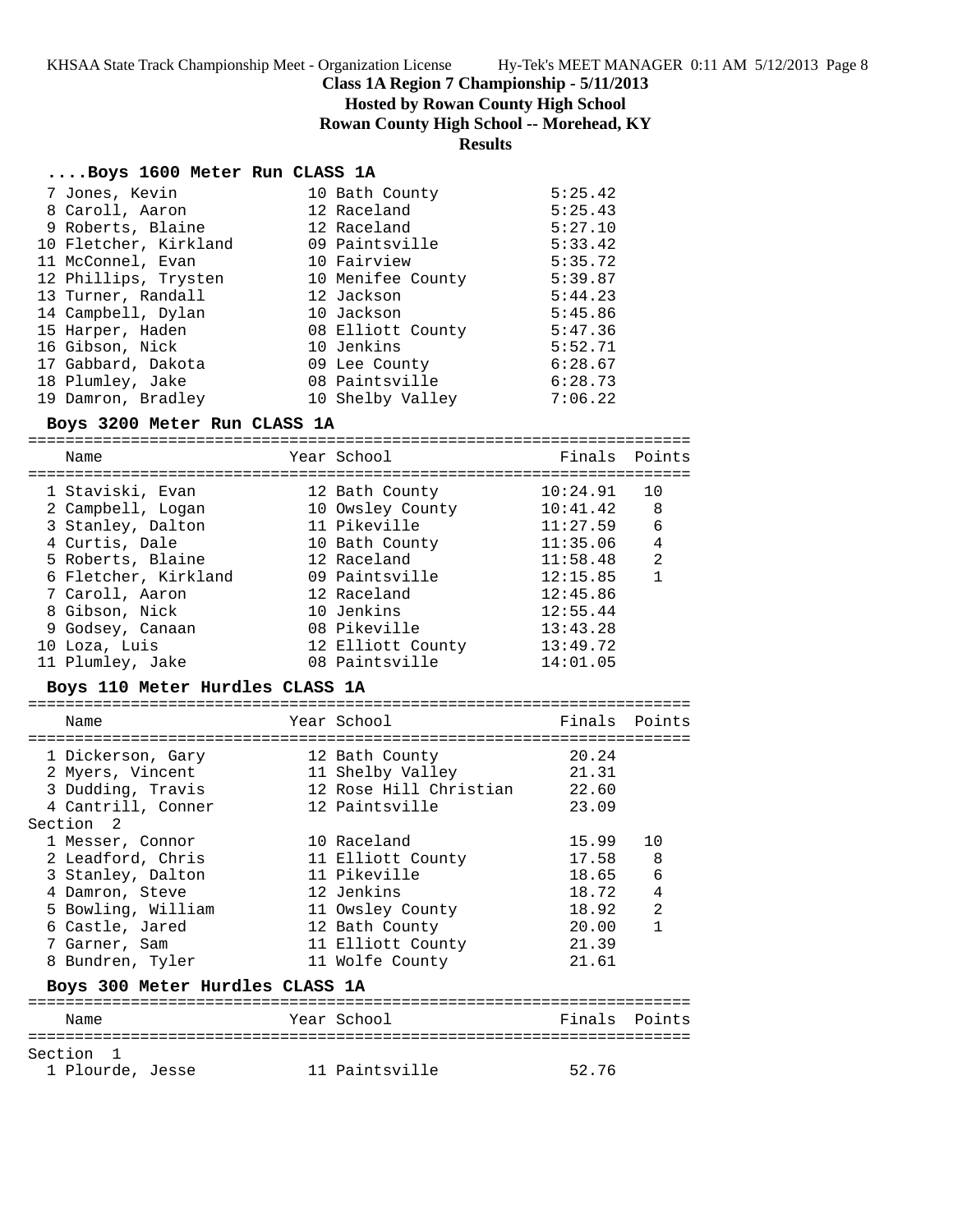**Hosted by Rowan County High School**

**Rowan County High School -- Morehead, KY**

## **Results**

### **....Boys 1600 Meter Run CLASS 1A**

| 7 Jones, Kevin        | 10 Bath County    | 5:25.42 |
|-----------------------|-------------------|---------|
| 8 Caroll, Aaron       | 12 Raceland       | 5:25.43 |
| 9 Roberts, Blaine     | 12 Raceland       | 5:27.10 |
| 10 Fletcher, Kirkland | 09 Paintsville    | 5:33.42 |
| 11 McConnel, Evan     | 10 Fairview       | 5:35.72 |
| 12 Phillips, Trysten  | 10 Menifee County | 5:39.87 |
| 13 Turner, Randall    | 12 Jackson        | 5:44.23 |
| 14 Campbell, Dylan    | 10 Jackson        | 5:45.86 |
| 15 Harper, Haden      | 08 Elliott County | 5:47.36 |
| 16 Gibson, Nick       | 10 Jenkins        | 5:52.71 |
| 17 Gabbard, Dakota    | 09 Lee County     | 6:28.67 |
| 18 Plumley, Jake      | 08 Paintsville    | 6:28.73 |
| 19 Damron, Bradley    | 10 Shelby Valley  | 7:06.22 |

### **Boys 3200 Meter Run CLASS 1A**

======================================================================= Name The Year School The Finals Points ======================================================================= 1 Staviski, Evan 12 Bath County 10:24.91 10 2 Campbell, Logan 10 Owsley County 10:41.42 8 3 Stanley, Dalton 11 Pikeville 11:27.59 6 4 Curtis, Dale 10 Bath County 11:35.06 4 5 Roberts, Blaine 12 Raceland 11:58.48 2 6 Fletcher, Kirkland 09 Paintsville 12:15.85 1 7 Caroll, Aaron 12 Raceland 12:45.86 8 Gibson, Nick 10 Jenkins 12:55.44 9 Godsey, Canaan 08 Pikeville 13:43.28 10 Loza, Luis 12 Elliott County 13:49.72 11 Plumley, Jake 08 Paintsville 14:01.05 **Boys 110 Meter Hurdles CLASS 1A** ======================================================================= Name Year School Finals Points ======================================================================= 1 Dickerson, Gary 12 Bath County 20.24 2 Myers, Vincent 11 Shelby Valley 21.31 3 Dudding, Travis 12 Rose Hill Christian 22.60 4 Cantrill, Conner 12 Paintsville 23.09 Section 2 1 Messer, Connor 10 Raceland 15.99 10 2 Leadford, Chris 11 Elliott County 17.58 8 3 Stanley, Dalton 11 Pikeville 18.65 6 4 Damron, Steve 12 Jenkins 18.72 4 5 Bowling, William 11 Owsley County 18.92 2 6 Castle, Jared 12 Bath County 20.00 1 7 Garner, Sam 11 Elliott County 21.39 8 Bundren, Tyler 11 Wolfe County 21.61 **Boys 300 Meter Hurdles CLASS 1A** ======================================================================= Name **The Year School** Finals Points ======================================================================= Section 1

1 Plourde, Jesse 11 Paintsville 52.76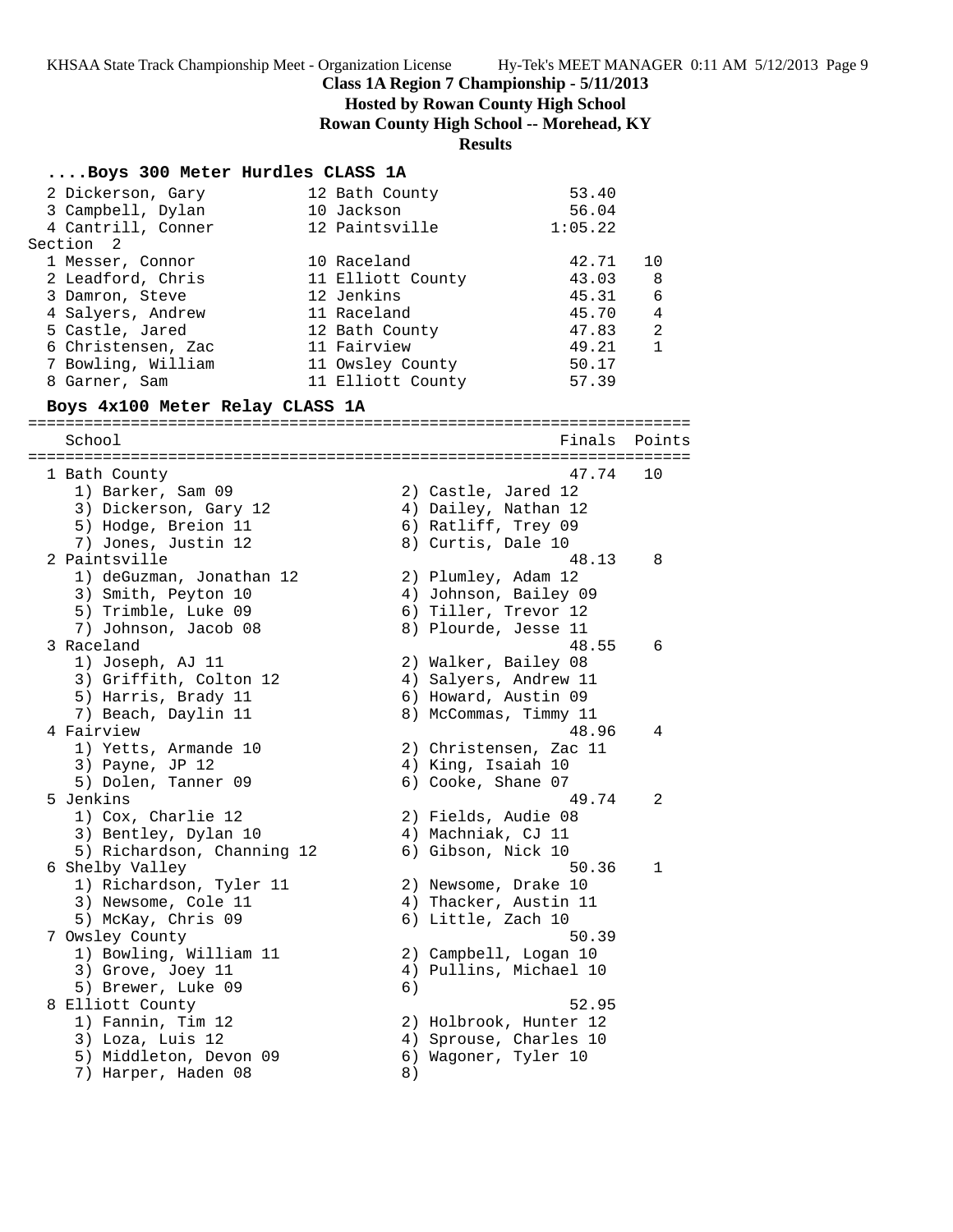**Hosted by Rowan County High School**

**Rowan County High School -- Morehead, KY**

# **Results**

# **....Boys 300 Meter Hurdles CLASS 1A**

| 2 Dickerson, Gary                                  | 12 Bath County            |                                          | 53.40                                        |                |
|----------------------------------------------------|---------------------------|------------------------------------------|----------------------------------------------|----------------|
| 3 Campbell, Dylan                                  | 10 Jackson                |                                          | 56.04                                        |                |
| 4 Cantrill, Conner                                 | 12 Paintsville            |                                          | 1:05.22                                      |                |
| Section<br>2                                       |                           |                                          |                                              |                |
| 1 Messer, Connor                                   | 10 Raceland               |                                          | 42.71                                        | 10             |
| 2 Leadford, Chris                                  | 11 Elliott County         |                                          | 43.03                                        | 8              |
| 3 Damron, Steve<br>4 Salyers, Andrew               | 12 Jenkins<br>11 Raceland |                                          | 45.31<br>45.70                               | 6<br>4         |
| 5 Castle, Jared                                    | 12 Bath County            |                                          | 47.83                                        | $\overline{a}$ |
| 6 Christensen, Zac                                 | 11 Fairview               |                                          | 49.21                                        | $\mathbf{1}$   |
| 7 Bowling, William                                 | 11 Owsley County          |                                          | 50.17                                        |                |
| 8 Garner, Sam                                      | 11 Elliott County         |                                          | 57.39                                        |                |
|                                                    |                           |                                          |                                              |                |
| Boys 4x100 Meter Relay CLASS 1A                    |                           |                                          |                                              |                |
| School                                             |                           |                                          | Finals                                       | Points         |
|                                                    |                           |                                          |                                              |                |
| 1 Bath County                                      |                           |                                          | 47.74                                        | 10             |
| 1) Barker, Sam 09                                  |                           |                                          | 2) Castle, Jared 12                          |                |
| 3) Dickerson, Gary 12                              |                           |                                          | 4) Dailey, Nathan 12                         |                |
| 5) Hodge, Breion 11                                |                           |                                          | 6) Ratliff, Trey 09                          |                |
| 7) Jones, Justin 12                                |                           | 8) Curtis, Dale 10                       |                                              |                |
| 2 Paintsville                                      |                           |                                          | 48.13                                        | 8              |
| 1) deGuzman, Jonathan 12<br>3) Smith, Peyton 10    |                           |                                          | 2) Plumley, Adam 12<br>4) Johnson, Bailey 09 |                |
| 5) Trimble, Luke 09                                |                           |                                          | 6) Tiller, Trevor 12                         |                |
| 7) Johnson, Jacob 08                               |                           |                                          | 8) Plourde, Jesse 11                         |                |
| 3 Raceland                                         |                           |                                          | 48.55                                        | 6              |
| 1) Joseph, AJ 11                                   |                           |                                          | 2) Walker, Bailey 08                         |                |
| 3) Griffith, Colton 12                             |                           |                                          | 4) Salyers, Andrew 11                        |                |
| 5) Harris, Brady 11                                |                           |                                          | 6) Howard, Austin 09                         |                |
| 7) Beach, Daylin 11                                |                           |                                          | 8) McCommas, Timmy 11                        |                |
| 4 Fairview                                         |                           |                                          | 48.96                                        | 4              |
| 1) Yetts, Armande 10                               |                           |                                          | 2) Christensen, Zac 11                       |                |
| 3) Payne, JP 12                                    |                           | 4) King, Isaiah 10                       |                                              |                |
| 5) Dolen, Tanner 09                                |                           | 6) Cooke, Shane 07                       |                                              |                |
| 5 Jenkins                                          |                           |                                          | 49.74                                        | 2              |
| 1) Cox, Charlie 12                                 |                           |                                          | 2) Fields, Audie 08                          |                |
| 3) Bentley, Dylan 10<br>5) Richardson, Channing 12 |                           | 4) Machniak, CJ 11<br>6) Gibson, Nick 10 |                                              |                |
| 6 Shelby Valley                                    |                           |                                          | 50.36                                        | 1              |
| 1) Richardson, Tyler 11                            |                           |                                          | 2) Newsome, Drake 10                         |                |
| 3) Newsome, Cole 11                                |                           |                                          | 4) Thacker, Austin 11                        |                |
| 5) McKay, Chris 09                                 |                           | 6) Little, Zach 10                       |                                              |                |
| 7 Owsley County                                    |                           |                                          | 50.39                                        |                |
| 1) Bowling, William 11                             |                           |                                          | 2) Campbell, Logan 10                        |                |
| 3) Grove, Joey 11                                  |                           |                                          | 4) Pullins, Michael 10                       |                |
| 5) Brewer, Luke 09                                 | 6)                        |                                          |                                              |                |
| 8 Elliott County                                   |                           |                                          | 52.95                                        |                |
| 1) Fannin, Tim 12                                  |                           |                                          | 2) Holbrook, Hunter 12                       |                |
| 3) Loza, Luis 12                                   |                           |                                          | 4) Sprouse, Charles 10                       |                |
| 5) Middleton, Devon 09                             |                           |                                          | 6) Wagoner, Tyler 10                         |                |
| 7) Harper, Haden 08                                | 8)                        |                                          |                                              |                |
|                                                    |                           |                                          |                                              |                |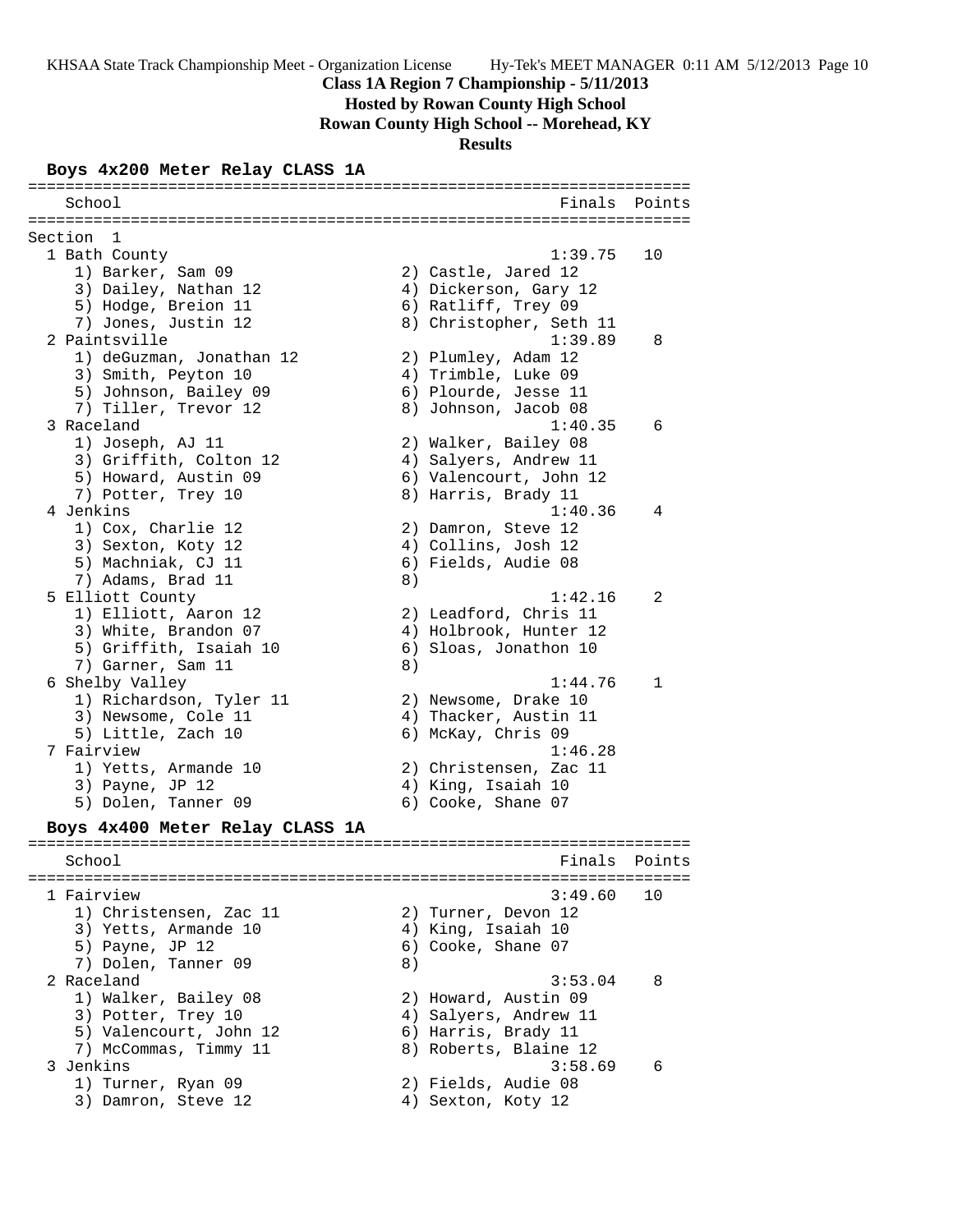**Hosted by Rowan County High School**

**Rowan County High School -- Morehead, KY**

**Results**

## **Boys 4x200 Meter Relay CLASS 1A**

======================================================================= School **Finals** Points **Points** ======================================================================= Section 1 1 Bath County 1:39.75 10 1) Barker, Sam 09 2) Castle, Jared 12 3) Dailey, Nathan 12 4) Dickerson, Gary 12 5) Hodge, Breion 11 6) Ratliff, Trey 09 7) Jones, Justin 12 8) Christopher, Seth 11 2 Paintsville 1:39.89 8 1) deGuzman, Jonathan 12 2) Plumley, Adam 12 3) Smith, Peyton 10 4) Trimble, Luke 09 5) Johnson, Bailey 09 (6) Plourde, Jesse 11 7) Tiller, Trevor 12 (8) Johnson, Jacob 08 3 Raceland 1:40.35 6 1) Joseph, AJ 11 2) Walker, Bailey 08 3) Griffith, Colton 12 4) Salyers, Andrew 11 5) Howard, Austin 09 6) Valencourt, John 12 7) Potter, Trey 10 and 8) Harris, Brady 11 4 Jenkins 1:40.36 4 1) Cox, Charlie 12 2) Damron, Steve 12 3) Sexton, Koty 12 4) Collins, Josh 12 5) Machniak, CJ 11 6) Fields, Audie 08 7) Adams, Brad 11 8) 5 Elliott County 1:42.16 2 1) Elliott, Aaron 12 2) Leadford, Chris 11 3) White, Brandon 07 4) Holbrook, Hunter 12 5) Griffith, Isaiah 10 6) Sloas, Jonathon 10 7) Garner, Sam 11 8) 6 Shelby Valley 1:44.76 1 1) Richardson, Tyler 11 and 2) Newsome, Drake 10 3) Newsome, Cole 11 4) Thacker, Austin 11 5) Little, Zach 10 6) McKay, Chris 09 7 Fairview 1:46.28 1) Yetts, Armande 10 2) Christensen, Zac 11 3) Payne, JP 12 4) King, Isaiah 10 5) Dolen, Tanner 09 6) Cooke, Shane 07 **Boys 4x400 Meter Relay CLASS 1A** ======================================================================= School **Finals** Points ======================================================================= 1 Fairview 3:49.60 10 1) Christensen, Zac 11 2) Turner, Devon 12 3) Yetts, Armande 10 (4) Aing, Isaiah 10 5) Payne, JP 12 6) Cooke, Shane 07 7) Dolen, Tanner 09 8) 2 Raceland 3:53.04 8 1) Walker, Bailey 08 2) Howard, Austin 09 3) Potter, Trey 10 4) Salyers, Andrew 11 5) Valencourt, John 12 (6) Harris, Brady 11 7) McCommas, Timmy 11 8) Roberts, Blaine 12 3 Jenkins 3:58.69 6 1) Turner, Ryan 09 2) Fields, Audie 08 3) Damron, Steve 12 (4) Sexton, Koty 12